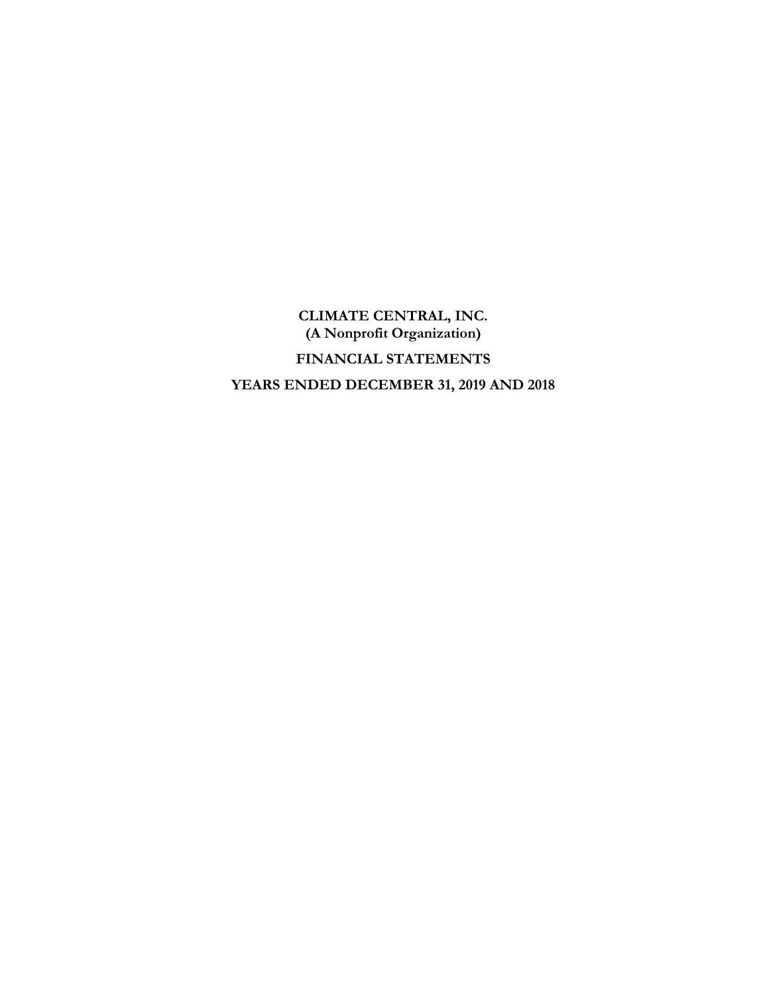**CLIMATE CENTRAL, INC. (A Nonprofit Organization) FINANCIAL STATEMENTS YEARS ENDED DECEMBER 31, 2019 AND 2018**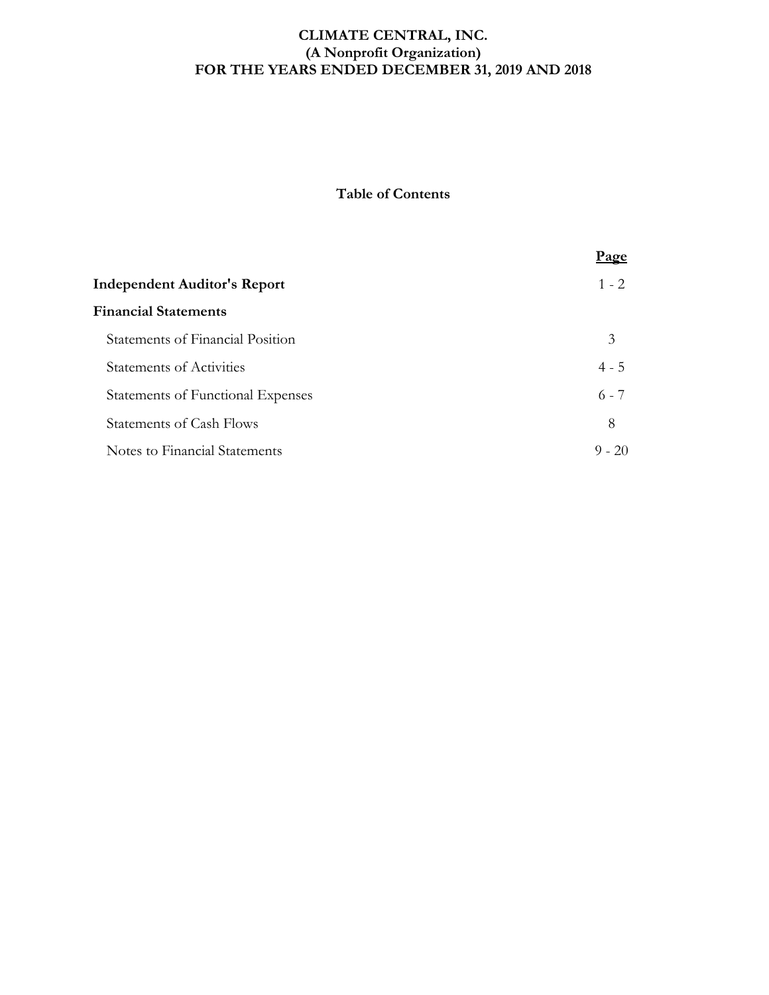## **CLIMATE CENTRAL, INC. (A Nonprofit Organization) FOR THE YEARS ENDED DECEMBER 31, 2019 AND 2018**

# **Table of Contents**

|                                     | Page     |
|-------------------------------------|----------|
| <b>Independent Auditor's Report</b> | $1 - 2$  |
| <b>Financial Statements</b>         |          |
| Statements of Financial Position    | 3        |
| <b>Statements of Activities</b>     | $4 - 5$  |
| Statements of Functional Expenses   | $6 - 7$  |
| <b>Statements of Cash Flows</b>     | 8        |
| Notes to Financial Statements       | $9 - 20$ |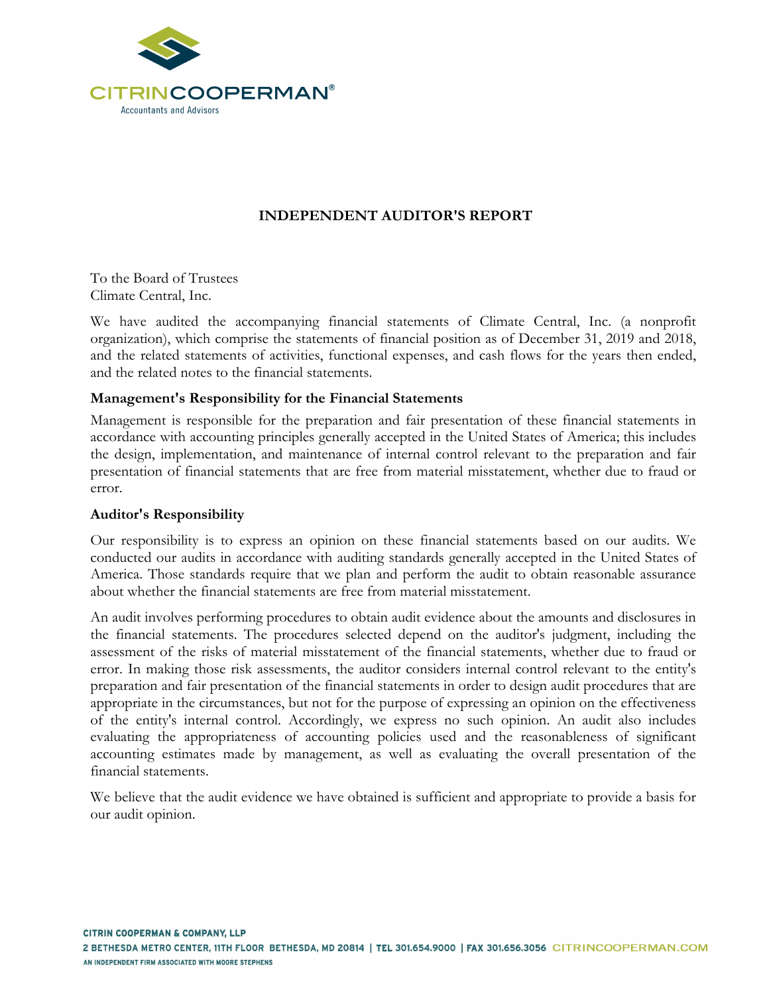

# **INDEPENDENT AUDITOR'S REPORT**

To the Board of Trustees Climate Central, Inc.

We have audited the accompanying financial statements of Climate Central, Inc. (a nonprofit organization), which comprise the statements of financial position as of December 31, 2019 and 2018, and the related statements of activities, functional expenses, and cash flows for the years then ended, and the related notes to the financial statements.

# **Management's Responsibility for the Financial Statements**

Management is responsible for the preparation and fair presentation of these financial statements in accordance with accounting principles generally accepted in the United States of America; this includes the design, implementation, and maintenance of internal control relevant to the preparation and fair presentation of financial statements that are free from material misstatement, whether due to fraud or error.

## **Auditor's Responsibility**

Our responsibility is to express an opinion on these financial statements based on our audits. We conducted our audits in accordance with auditing standards generally accepted in the United States of America. Those standards require that we plan and perform the audit to obtain reasonable assurance about whether the financial statements are free from material misstatement.

An audit involves performing procedures to obtain audit evidence about the amounts and disclosures in the financial statements. The procedures selected depend on the auditor's judgment, including the assessment of the risks of material misstatement of the financial statements, whether due to fraud or error. In making those risk assessments, the auditor considers internal control relevant to the entity's preparation and fair presentation of the financial statements in order to design audit procedures that are appropriate in the circumstances, but not for the purpose of expressing an opinion on the effectiveness of the entity's internal control. Accordingly, we express no such opinion. An audit also includes evaluating the appropriateness of accounting policies used and the reasonableness of significant accounting estimates made by management, as well as evaluating the overall presentation of the financial statements.

We believe that the audit evidence we have obtained is sufficient and appropriate to provide a basis for our audit opinion.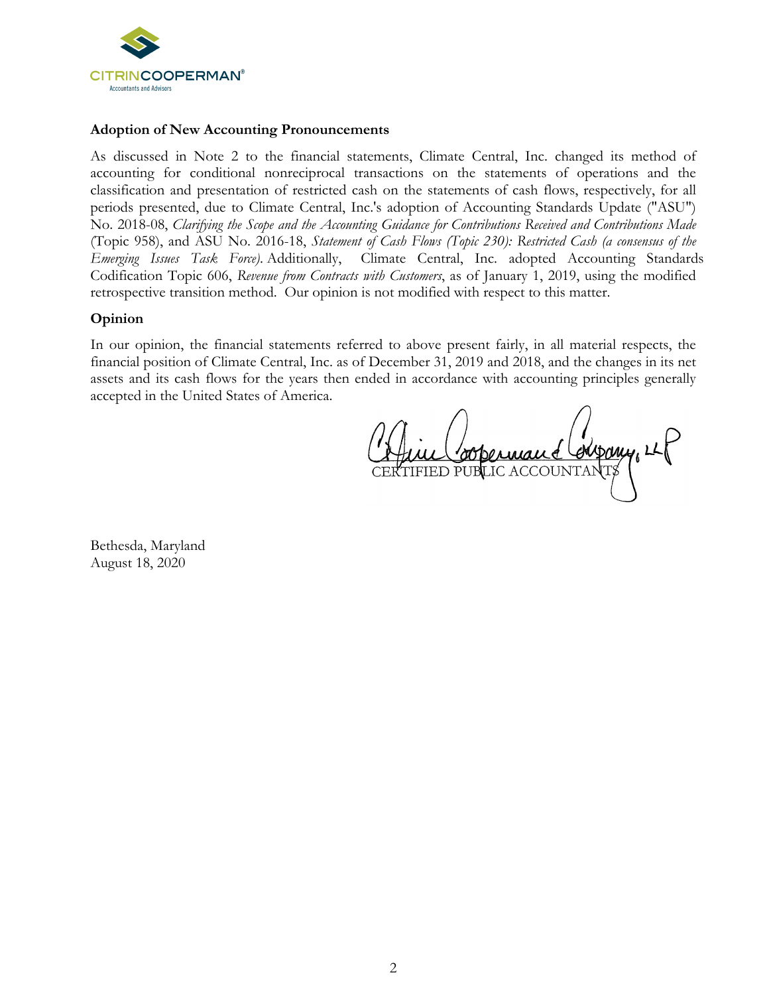

#### **Adoption of New Accounting Pronouncements**

As discussed in Note 2 to the financial statements, Climate Central, Inc. changed its method of accounting for conditional nonreciprocal transactions on the statements of operations and the classification and presentation of restricted cash on the statements of cash flows, respectively, for all periods presented, due to Climate Central, Inc.'s adoption of Accounting Standards Update ("ASU") No. 2018-08, *Clarifying the Scope and the Accounting Guidance for Contributions Received and Contributions Made* (Topic 958), and ASU No. 2016-18, *Statement of Cash Flows (Topic 230): Restricted Cash (a consensus of the Emerging Issues Task Force)*. Additionally, Climate Central, Inc. adopted Accounting Standards Codification Topic 606, *Revenue from Contracts with Customers*, as of January 1, 2019, using the modified retrospective transition method. Our opinion is not modified with respect to this matter.

## **Opinion**

In our opinion, the financial statements referred to above present fairly, in all material respects, the financial position of Climate Central, Inc. as of December 31, 2019 and 2018, and the changes in its net assets and its cash flows for the years then ended in accordance with accounting principles generally accepted in the United States of America.

Afric Coopernant Company, LE

Bethesda, Maryland August 18, 2020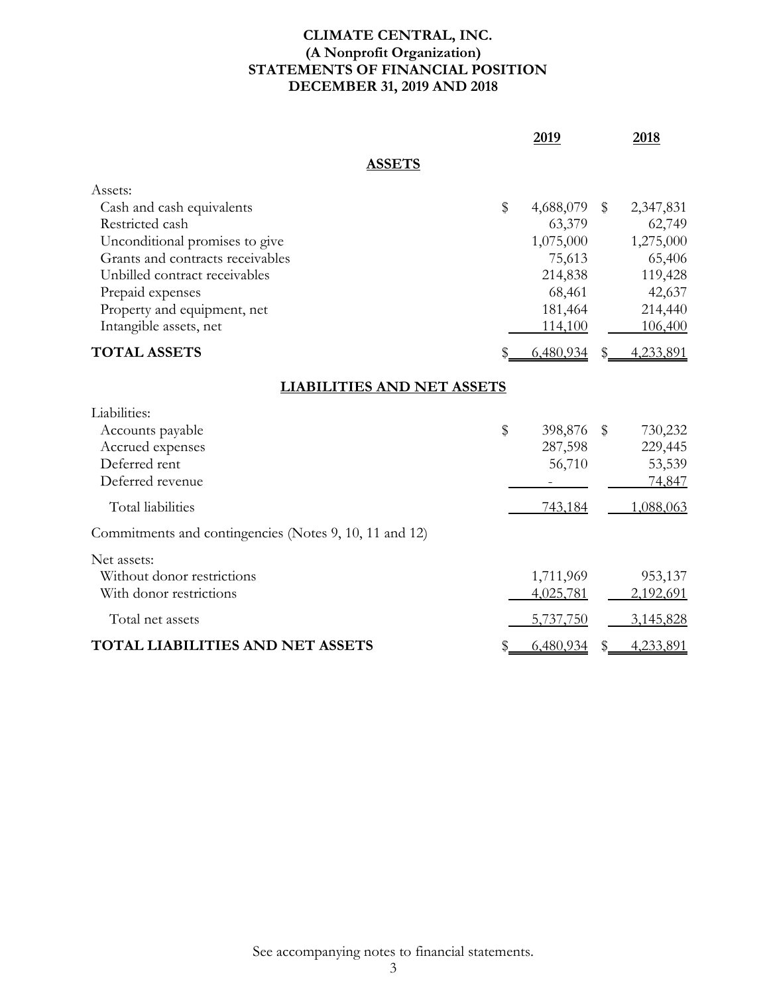# **CLIMATE CENTRAL, INC. (A Nonprofit Organization) STATEMENTS OF FINANCIAL POSITION DECEMBER 31, 2019 AND 2018**

|                                                        | 2019            | 2018            |
|--------------------------------------------------------|-----------------|-----------------|
| <b>ASSETS</b>                                          |                 |                 |
| Assets:<br>Cash and cash equivalents                   | \$<br>4,688,079 | \$<br>2,347,831 |
| Restricted cash                                        | 63,379          | 62,749          |
| Unconditional promises to give                         | 1,075,000       | 1,275,000       |
| Grants and contracts receivables                       | 75,613          | 65,406          |
| Unbilled contract receivables                          | 214,838         | 119,428         |
| Prepaid expenses                                       | 68,461          | 42,637          |
| Property and equipment, net                            | 181,464         | 214,440         |
| Intangible assets, net                                 | 114,100         | 106,400         |
| <b>TOTAL ASSETS</b>                                    | 6,480,934       | 4,233,891       |
| <b>LIABILITIES AND NET ASSETS</b>                      |                 |                 |
| Liabilities:                                           |                 |                 |
| Accounts payable                                       | \$<br>398,876   | \$<br>730,232   |
| Accrued expenses                                       | 287,598         | 229,445         |
| Deferred rent                                          | 56,710          | 53,539          |
| Deferred revenue                                       |                 | 74,847          |
| Total liabilities                                      | 743,184         | 1,088,063       |
| Commitments and contingencies (Notes 9, 10, 11 and 12) |                 |                 |
| Net assets:                                            |                 |                 |
| Without donor restrictions                             | 1,711,969       | 953,137         |
| With donor restrictions                                | 4,025,781       | 2,192,691       |
| Total net assets                                       | 5,737,750       | 3,145,828       |
| <b>TOTAL LIABILITIES AND NET ASSETS</b>                | 6,480,934       | 4,233,891       |
|                                                        |                 |                 |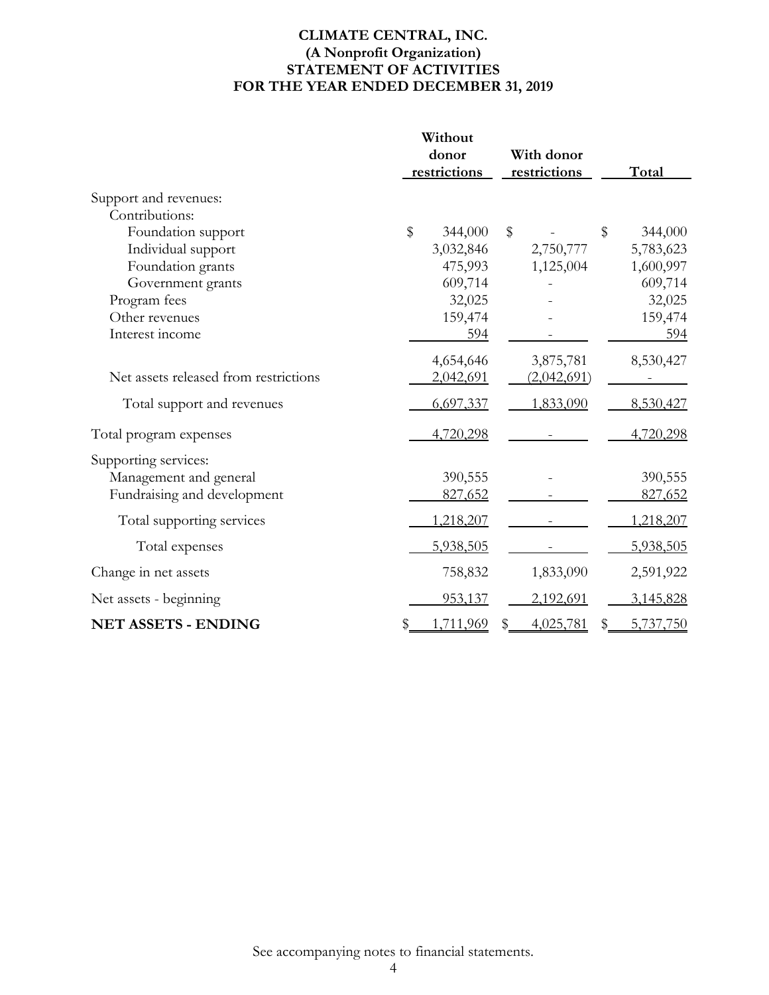# **CLIMATE CENTRAL, INC. (A Nonprofit Organization) STATEMENT OF ACTIVITIES FOR THE YEAR ENDED DECEMBER 31, 2019**

|                                       | Without               |       |                            |    |           |
|---------------------------------------|-----------------------|-------|----------------------------|----|-----------|
|                                       | donor<br>restrictions |       | With donor<br>restrictions |    | Total     |
| Support and revenues:                 |                       |       |                            |    |           |
| Contributions:                        |                       |       |                            |    |           |
| Foundation support                    | $\$\$<br>344,000      | $\$\$ |                            | \$ | 344,000   |
| Individual support                    | 3,032,846             |       | 2,750,777                  |    | 5,783,623 |
| Foundation grants                     | 475,993               |       | 1,125,004                  |    | 1,600,997 |
| Government grants                     | 609,714               |       |                            |    | 609,714   |
| Program fees                          | 32,025                |       |                            |    | 32,025    |
| Other revenues                        | 159,474               |       |                            |    | 159,474   |
| Interest income                       | 594                   |       |                            |    | 594       |
|                                       | 4,654,646             |       | 3,875,781                  |    | 8,530,427 |
| Net assets released from restrictions | 2,042,691             |       | (2,042,691)                |    |           |
| Total support and revenues            | 6,697,337             |       | 1,833,090                  |    | 8,530,427 |
| Total program expenses                | 4,720,298             |       |                            |    | 4,720,298 |
| Supporting services:                  |                       |       |                            |    |           |
| Management and general                | 390,555               |       |                            |    | 390,555   |
| Fundraising and development           | 827,652               |       |                            |    | 827,652   |
| Total supporting services             | 1,218,207             |       |                            |    | 1,218,207 |
| Total expenses                        | 5,938,505             |       |                            |    | 5,938,505 |
| Change in net assets                  | 758,832               |       | 1,833,090                  |    | 2,591,922 |
| Net assets - beginning                | 953,137               |       | 2,192,691                  |    | 3,145,828 |
| <b>NET ASSETS - ENDING</b>            | 1,711,969             | \$    | 4,025,781                  | \$ | 5,737,750 |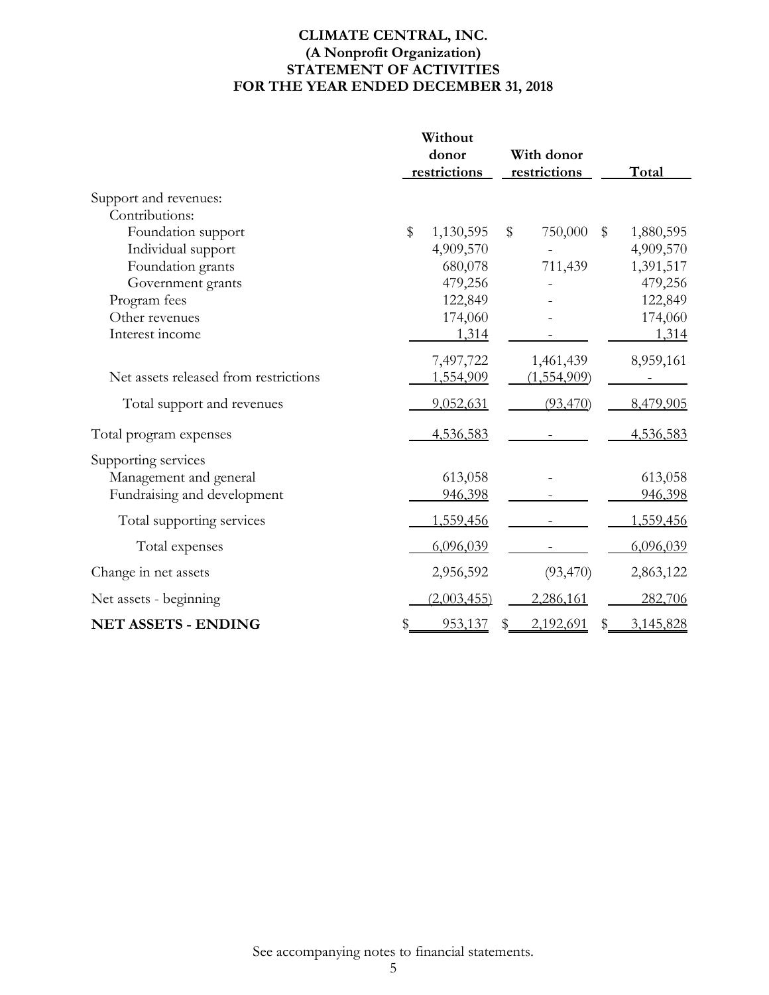# **CLIMATE CENTRAL, INC. (A Nonprofit Organization) STATEMENT OF ACTIVITIES FOR THE YEAR ENDED DECEMBER 31, 2018**

|                                         |       | Without            |    |              |    |           |
|-----------------------------------------|-------|--------------------|----|--------------|----|-----------|
|                                         |       | donor              |    | With donor   |    |           |
|                                         |       | restrictions       |    | restrictions |    | Total     |
| Support and revenues:<br>Contributions: |       |                    |    |              |    |           |
|                                         | $\$\$ |                    |    |              |    |           |
| Foundation support                      |       | 1,130,595          | \$ | 750,000      | \$ | 1,880,595 |
| Individual support                      |       | 4,909,570          |    |              |    | 4,909,570 |
| Foundation grants                       |       | 680,078            |    | 711,439      |    | 1,391,517 |
| Government grants                       |       | 479,256            |    |              |    | 479,256   |
| Program fees                            |       | 122,849            |    |              |    | 122,849   |
| Other revenues                          |       | 174,060            |    |              |    | 174,060   |
| Interest income                         |       | 1,314              |    |              |    | 1,314     |
|                                         |       | 7,497,722          |    | 1,461,439    |    | 8,959,161 |
| Net assets released from restrictions   |       | 1,554,909          |    | (1,554,909)  |    |           |
| Total support and revenues              |       | <u>9,052,631</u>   |    | (93,470)     |    | 8,479,905 |
| Total program expenses                  |       | 4,536,583          |    |              |    | 4,536,583 |
| Supporting services                     |       |                    |    |              |    |           |
| Management and general                  |       | 613,058            |    |              |    | 613,058   |
| Fundraising and development             |       | 946,398            |    |              |    | 946,398   |
| Total supporting services               |       | 1,559,456          |    |              |    | 1,559,456 |
| Total expenses                          |       | 6,096,039          |    |              |    | 6,096,039 |
| Change in net assets                    |       | 2,956,592          |    | (93, 470)    |    | 2,863,122 |
| Net assets - beginning                  |       | <u>(2,003,455)</u> |    | 2,286,161    |    | 282,706   |
| <b>NET ASSETS - ENDING</b>              |       | 953,137            | \$ | 2,192,691    | \$ | 3,145,828 |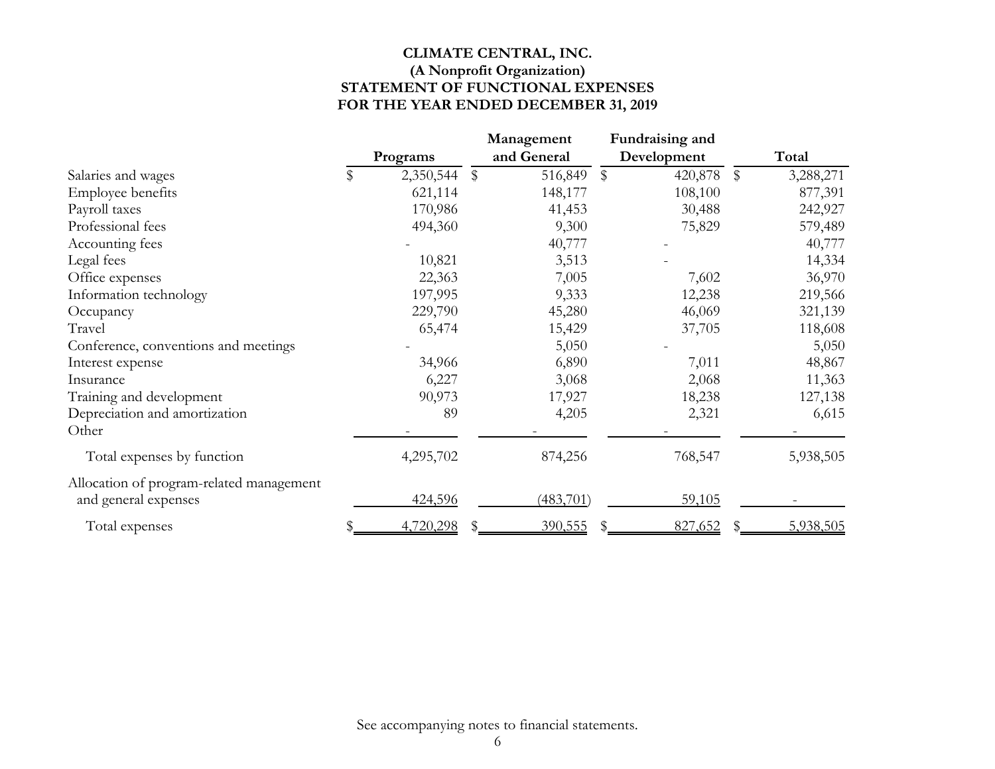# **CLIMATE CENTRAL, INC. (A Nonprofit Organization) STATEMENT OF FUNCTIONAL EXPENSES FOR THE YEAR ENDED DECEMBER 31, 2019**

|                                          |   |           |        | Management  |              | Fundraising and |       |           |
|------------------------------------------|---|-----------|--------|-------------|--------------|-----------------|-------|-----------|
|                                          |   | Programs  |        | and General |              | Development     |       | Total     |
| Salaries and wages                       | S | 2,350,544 | $\$\,$ | 516,849     | $\mathbb{S}$ | 420,878         | $\$\$ | 3,288,271 |
| Employee benefits                        |   | 621,114   |        | 148,177     |              | 108,100         |       | 877,391   |
| Payroll taxes                            |   | 170,986   |        | 41,453      |              | 30,488          |       | 242,927   |
| Professional fees                        |   | 494,360   |        | 9,300       |              | 75,829          |       | 579,489   |
| Accounting fees                          |   |           |        | 40,777      |              |                 |       | 40,777    |
| Legal fees                               |   | 10,821    |        | 3,513       |              |                 |       | 14,334    |
| Office expenses                          |   | 22,363    |        | 7,005       |              | 7,602           |       | 36,970    |
| Information technology                   |   | 197,995   |        | 9,333       |              | 12,238          |       | 219,566   |
| Occupancy                                |   | 229,790   |        | 45,280      |              | 46,069          |       | 321,139   |
| Travel                                   |   | 65,474    |        | 15,429      |              | 37,705          |       | 118,608   |
| Conference, conventions and meetings     |   |           |        | 5,050       |              |                 |       | 5,050     |
| Interest expense                         |   | 34,966    |        | 6,890       |              | 7,011           |       | 48,867    |
| Insurance                                |   | 6,227     |        | 3,068       |              | 2,068           |       | 11,363    |
| Training and development                 |   | 90,973    |        | 17,927      |              | 18,238          |       | 127,138   |
| Depreciation and amortization            |   | 89        |        | 4,205       |              | 2,321           |       | 6,615     |
| Other                                    |   |           |        |             |              |                 |       |           |
| Total expenses by function               |   | 4,295,702 |        | 874,256     |              | 768,547         |       | 5,938,505 |
| Allocation of program-related management |   |           |        |             |              |                 |       |           |
| and general expenses                     |   | 424,596   |        | (483,701)   |              | 59,105          |       |           |
| Total expenses                           |   | 4,720,298 |        | 390,555     |              | 827,652         |       | 5,938,505 |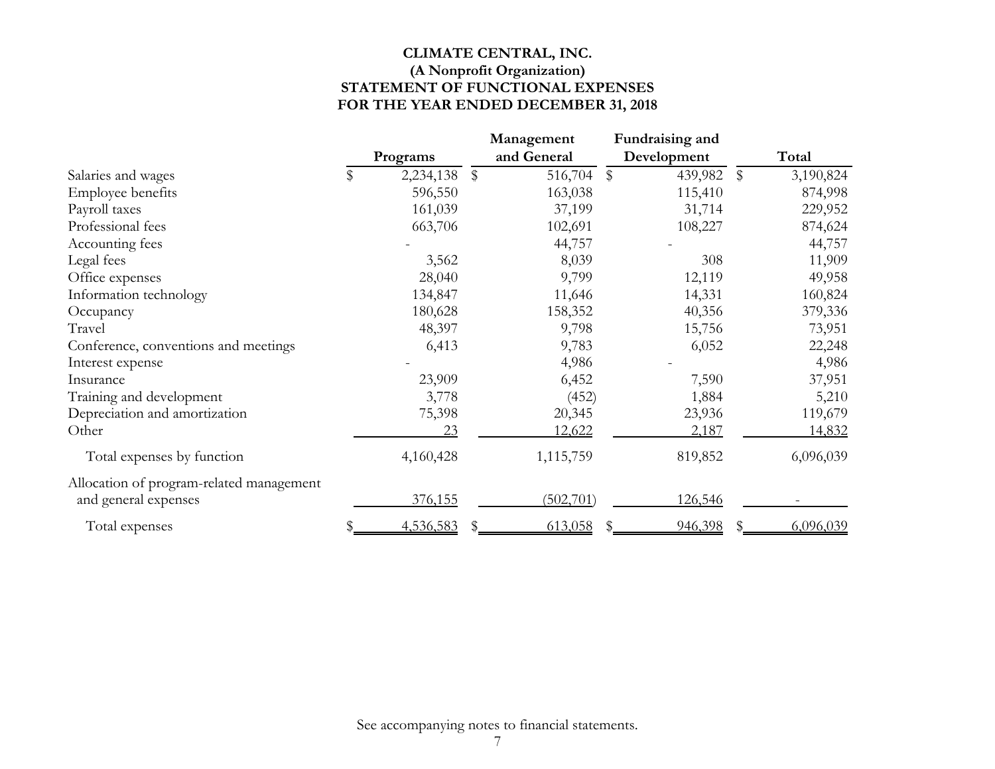# **CLIMATE CENTRAL, INC. (A Nonprofit Organization) STATEMENT OF FUNCTIONAL EXPENSES FOR THE YEAR ENDED DECEMBER 31, 2018**

|                                          |                 | Management    | Fundraising and        |        |           |
|------------------------------------------|-----------------|---------------|------------------------|--------|-----------|
|                                          | Programs        | and General   | Development            |        | Total     |
| Salaries and wages                       | \$<br>2,234,138 | \$<br>516,704 | 439,982<br>$\mathbb S$ | $\$\,$ | 3,190,824 |
| Employee benefits                        | 596,550         | 163,038       | 115,410                |        | 874,998   |
| Payroll taxes                            | 161,039         | 37,199        | 31,714                 |        | 229,952   |
| Professional fees                        | 663,706         | 102,691       | 108,227                |        | 874,624   |
| Accounting fees                          |                 | 44,757        |                        |        | 44,757    |
| Legal fees                               | 3,562           | 8,039         | 308                    |        | 11,909    |
| Office expenses                          | 28,040          | 9,799         | 12,119                 |        | 49,958    |
| Information technology                   | 134,847         | 11,646        | 14,331                 |        | 160,824   |
| Occupancy                                | 180,628         | 158,352       | 40,356                 |        | 379,336   |
| Travel                                   | 48,397          | 9,798         | 15,756                 |        | 73,951    |
| Conference, conventions and meetings     | 6,413           | 9,783         | 6,052                  |        | 22,248    |
| Interest expense                         |                 | 4,986         |                        |        | 4,986     |
| Insurance                                | 23,909          | 6,452         | 7,590                  |        | 37,951    |
| Training and development                 | 3,778           | (452)         | 1,884                  |        | 5,210     |
| Depreciation and amortization            | 75,398          | 20,345        | 23,936                 |        | 119,679   |
| Other                                    | 23              | 12,622        | 2,187                  |        | 14,832    |
| Total expenses by function               | 4,160,428       | 1,115,759     | 819,852                |        | 6,096,039 |
| Allocation of program-related management |                 |               |                        |        |           |
| and general expenses                     | 376,155         | (502,701)     | 126,546                |        |           |
| Total expenses                           | 4,536,583       | 613,058       | 946,398                | S      | 6,096,039 |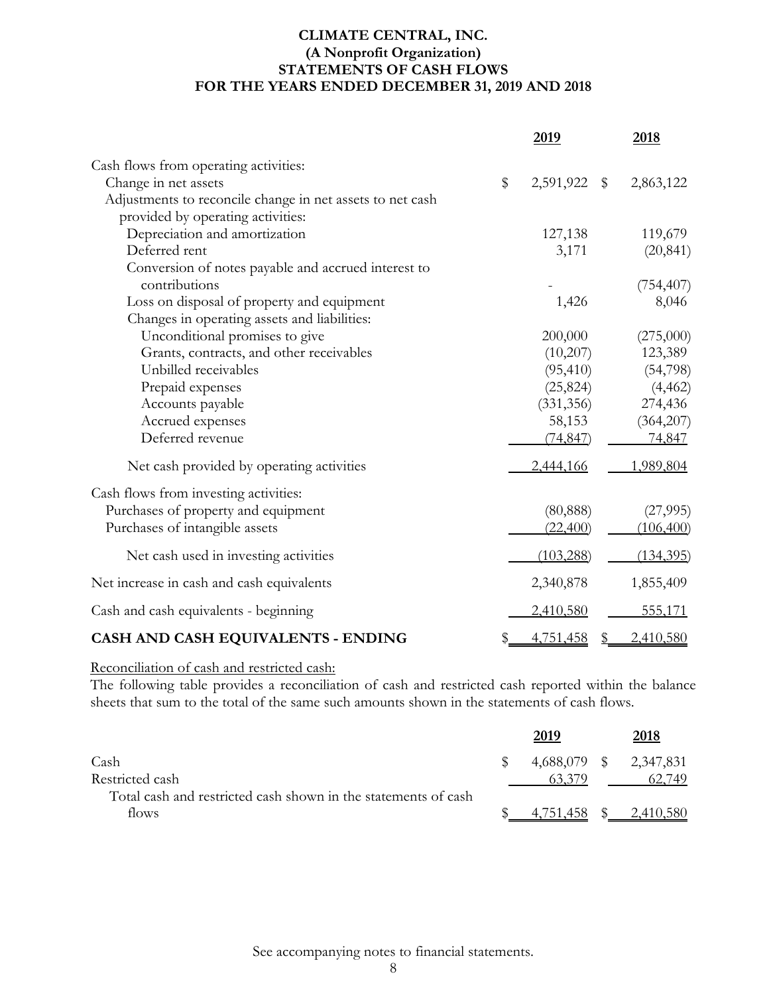# **CLIMATE CENTRAL, INC. (A Nonprofit Organization) STATEMENTS OF CASH FLOWS FOR THE YEARS ENDED DECEMBER 31, 2019 AND 2018**

|                                                           |    | 2019                                 | 2018       |
|-----------------------------------------------------------|----|--------------------------------------|------------|
| Cash flows from operating activities:                     |    |                                      |            |
| Change in net assets                                      | \$ | 2,591,922<br>$\sqrt[6]{\frac{1}{2}}$ | 2,863,122  |
| Adjustments to reconcile change in net assets to net cash |    |                                      |            |
| provided by operating activities:                         |    |                                      |            |
| Depreciation and amortization                             |    | 127,138                              | 119,679    |
| Deferred rent                                             |    | 3,171                                | (20, 841)  |
| Conversion of notes payable and accrued interest to       |    |                                      |            |
| contributions                                             |    |                                      | (754, 407) |
| Loss on disposal of property and equipment                |    | 1,426                                | 8,046      |
| Changes in operating assets and liabilities:              |    |                                      |            |
| Unconditional promises to give                            |    | 200,000                              | (275,000)  |
| Grants, contracts, and other receivables                  |    | (10,207)                             | 123,389    |
| Unbilled receivables                                      |    | (95, 410)                            | (54,798)   |
| Prepaid expenses                                          |    | (25, 824)                            | (4, 462)   |
| Accounts payable                                          |    | (331, 356)                           | 274,436    |
| Accrued expenses                                          |    | 58,153                               | (364,207)  |
| Deferred revenue                                          |    | (74, 847)                            | 74,847     |
| Net cash provided by operating activities                 |    | 2,444,166                            | 1,989,804  |
| Cash flows from investing activities:                     |    |                                      |            |
| Purchases of property and equipment                       |    | (80, 888)                            | (27,995)   |
| Purchases of intangible assets                            |    | (22,400)                             | (106, 400) |
| Net cash used in investing activities                     |    | (103, 288)                           | (134, 395) |
| Net increase in cash and cash equivalents                 |    | 2,340,878                            | 1,855,409  |
| Cash and cash equivalents - beginning                     |    | 2,410,580                            | 555,171    |
| CASH AND CASH EQUIVALENTS - ENDING                        | S  | 4,751,458<br>\$                      | 2,410,580  |

# Reconciliation of cash and restricted cash:

The following table provides a reconciliation of cash and restricted cash reported within the balance sheets that sum to the total of the same such amounts shown in the statements of cash flows.

|                                                                | 2019      |              | 2018                   |
|----------------------------------------------------------------|-----------|--------------|------------------------|
| Cash                                                           |           |              | 4,688,079 \$ 2,347,831 |
| Restricted cash                                                |           |              | 62.749                 |
| Total cash and restricted cash shown in the statements of cash |           |              |                        |
| flows                                                          | 4.751.458 | <sup>S</sup> | 2.410.580              |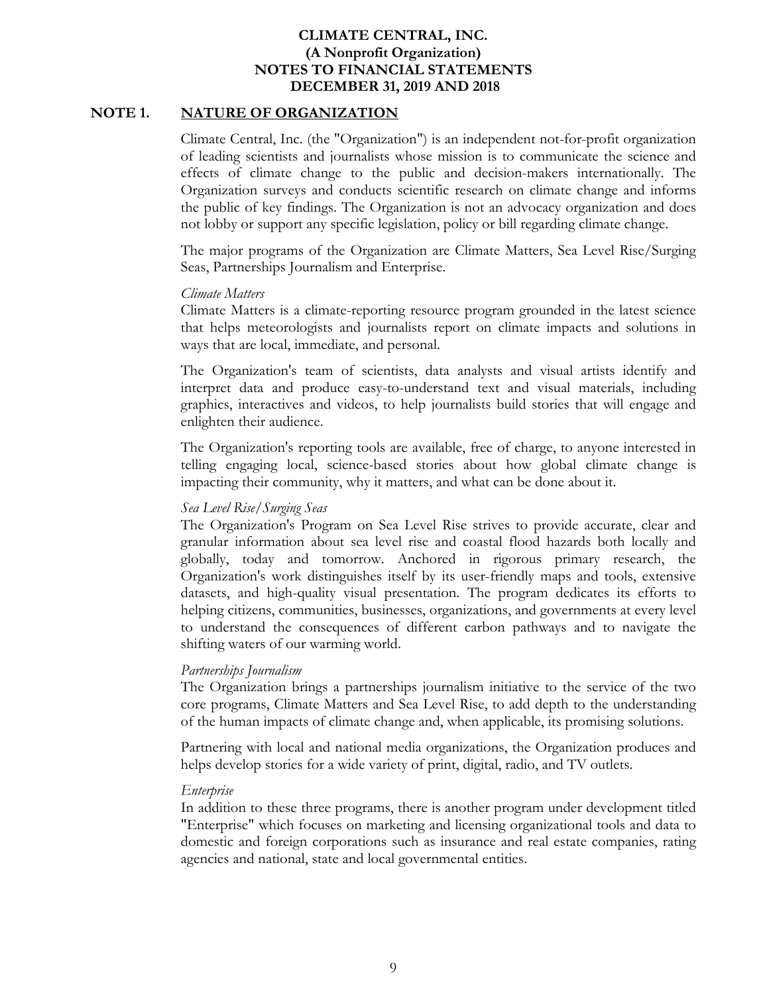## **NOTE 1. NATURE OF ORGANIZATION**

Climate Central, Inc. (the "Organization") is an independent not-for-profit organization of leading scientists and journalists whose mission is to communicate the science and effects of climate change to the public and decision-makers internationally. The Organization surveys and conducts scientific research on climate change and informs the public of key findings. The Organization is not an advocacy organization and does not lobby or support any specific legislation, policy or bill regarding climate change.

The major programs of the Organization are Climate Matters, Sea Level Rise/Surging Seas, Partnerships Journalism and Enterprise.

#### *Climate Matters*

Climate Matters is a climate-reporting resource program grounded in the latest science that helps meteorologists and journalists report on climate impacts and solutions in ways that are local, immediate, and personal.

The Organization's team of scientists, data analysts and visual artists identify and interpret data and produce easy-to-understand text and visual materials, including graphics, interactives and videos, to help journalists build stories that will engage and enlighten their audience.

The Organization's reporting tools are available, free of charge, to anyone interested in telling engaging local, science-based stories about how global climate change is impacting their community, why it matters, and what can be done about it.

## *Sea Level Rise/Surging Seas*

The Organization's Program on Sea Level Rise strives to provide accurate, clear and granular information about sea level rise and coastal flood hazards both locally and globally, today and tomorrow. Anchored in rigorous primary research, the Organization's work distinguishes itself by its user-friendly maps and tools, extensive datasets, and high-quality visual presentation. The program dedicates its efforts to helping citizens, communities, businesses, organizations, and governments at every level to understand the consequences of different carbon pathways and to navigate the shifting waters of our warming world.

## *Partnerships Journalism*

The Organization brings a partnerships journalism initiative to the service of the two core programs, Climate Matters and Sea Level Rise, to add depth to the understanding of the human impacts of climate change and, when applicable, its promising solutions.

Partnering with local and national media organizations, the Organization produces and helps develop stories for a wide variety of print, digital, radio, and TV outlets.

#### *Enterprise*

In addition to these three programs, there is another program under development titled "Enterprise" which focuses on marketing and licensing organizational tools and data to domestic and foreign corporations such as insurance and real estate companies, rating agencies and national, state and local governmental entities.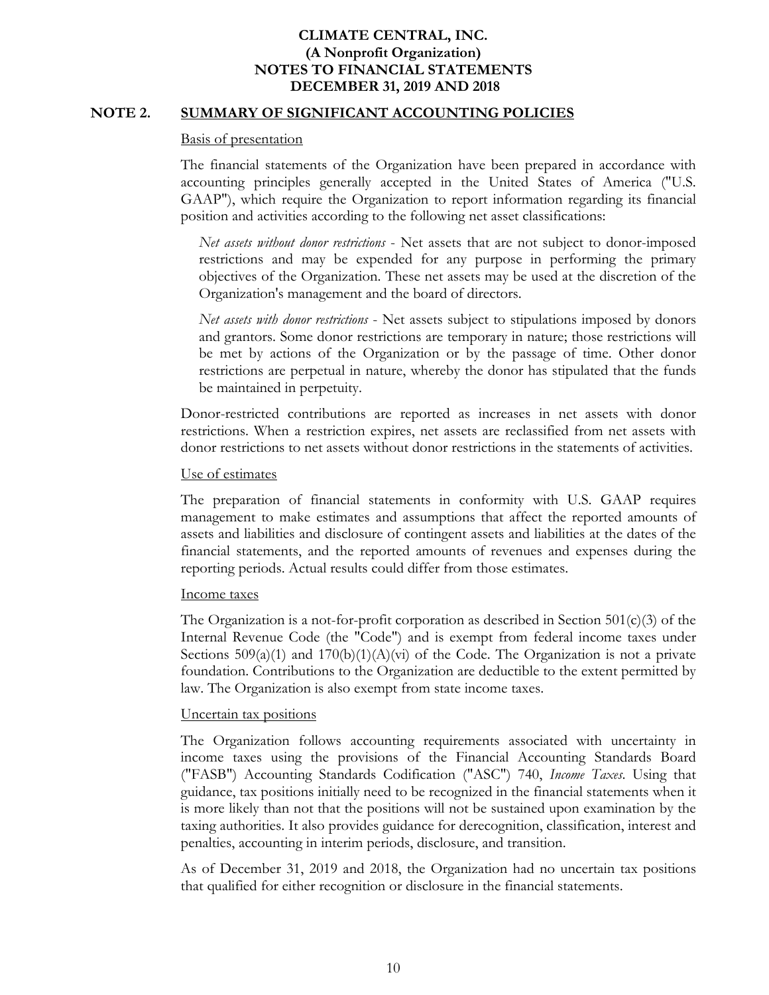### **NOTE 2. SUMMARY OF SIGNIFICANT ACCOUNTING POLICIES**

#### Basis of presentation

The financial statements of the Organization have been prepared in accordance with accounting principles generally accepted in the United States of America ("U.S. GAAP"), which require the Organization to report information regarding its financial position and activities according to the following net asset classifications:

*Net assets without donor restrictions* - Net assets that are not subject to donor-imposed restrictions and may be expended for any purpose in performing the primary objectives of the Organization. These net assets may be used at the discretion of the Organization's management and the board of directors.

*Net assets with donor restrictions* - Net assets subject to stipulations imposed by donors and grantors. Some donor restrictions are temporary in nature; those restrictions will be met by actions of the Organization or by the passage of time. Other donor restrictions are perpetual in nature, whereby the donor has stipulated that the funds be maintained in perpetuity.

Donor-restricted contributions are reported as increases in net assets with donor restrictions. When a restriction expires, net assets are reclassified from net assets with donor restrictions to net assets without donor restrictions in the statements of activities.

#### Use of estimates

The preparation of financial statements in conformity with U.S. GAAP requires management to make estimates and assumptions that affect the reported amounts of assets and liabilities and disclosure of contingent assets and liabilities at the dates of the financial statements, and the reported amounts of revenues and expenses during the reporting periods. Actual results could differ from those estimates.

#### Income taxes

The Organization is a not-for-profit corporation as described in Section  $501(c)(3)$  of the Internal Revenue Code (the "Code") and is exempt from federal income taxes under Sections  $509(a)(1)$  and  $170(b)(1)(A)(vi)$  of the Code. The Organization is not a private foundation. Contributions to the Organization are deductible to the extent permitted by law. The Organization is also exempt from state income taxes.

#### Uncertain tax positions

The Organization follows accounting requirements associated with uncertainty in income taxes using the provisions of the Financial Accounting Standards Board ("FASB") Accounting Standards Codification ("ASC") 740, *Income Taxes*. Using that guidance, tax positions initially need to be recognized in the financial statements when it is more likely than not that the positions will not be sustained upon examination by the taxing authorities. It also provides guidance for derecognition, classification, interest and penalties, accounting in interim periods, disclosure, and transition.

As of December 31, 2019 and 2018, the Organization had no uncertain tax positions that qualified for either recognition or disclosure in the financial statements.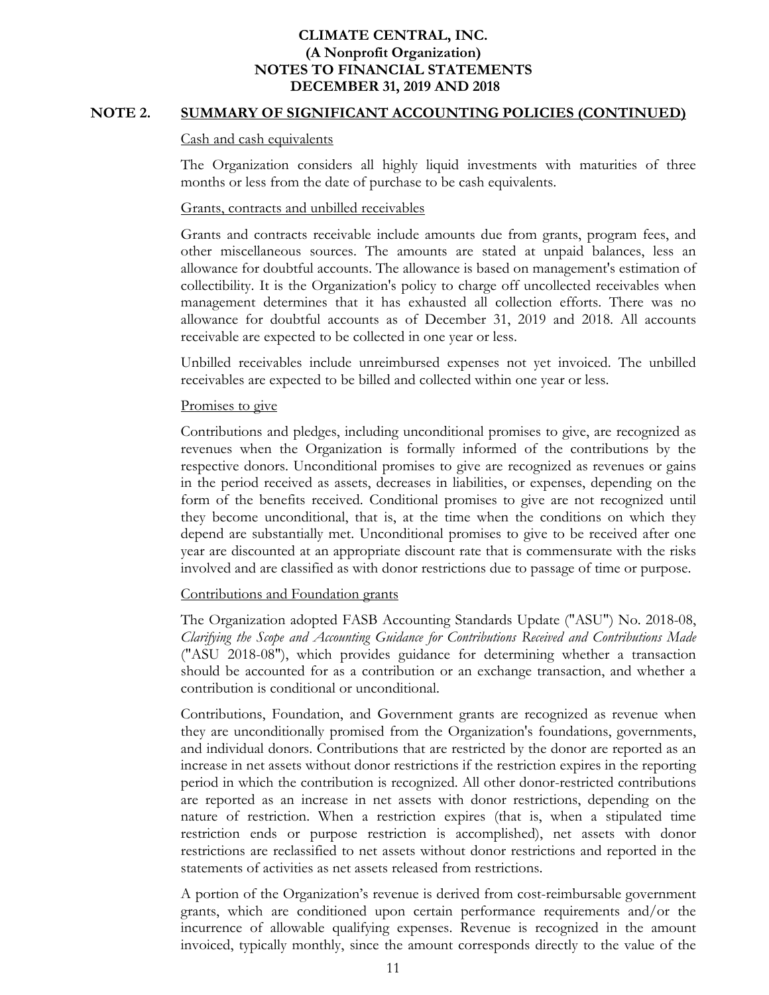### **NOTE 2. SUMMARY OF SIGNIFICANT ACCOUNTING POLICIES (CONTINUED)**

#### Cash and cash equivalents

The Organization considers all highly liquid investments with maturities of three months or less from the date of purchase to be cash equivalents.

#### Grants, contracts and unbilled receivables

Grants and contracts receivable include amounts due from grants, program fees, and other miscellaneous sources. The amounts are stated at unpaid balances, less an allowance for doubtful accounts. The allowance is based on management's estimation of collectibility. It is the Organization's policy to charge off uncollected receivables when management determines that it has exhausted all collection efforts. There was no allowance for doubtful accounts as of December 31, 2019 and 2018. All accounts receivable are expected to be collected in one year or less.

Unbilled receivables include unreimbursed expenses not yet invoiced. The unbilled receivables are expected to be billed and collected within one year or less.

#### Promises to give

Contributions and pledges, including unconditional promises to give, are recognized as revenues when the Organization is formally informed of the contributions by the respective donors. Unconditional promises to give are recognized as revenues or gains in the period received as assets, decreases in liabilities, or expenses, depending on the form of the benefits received. Conditional promises to give are not recognized until they become unconditional, that is, at the time when the conditions on which they depend are substantially met. Unconditional promises to give to be received after one year are discounted at an appropriate discount rate that is commensurate with the risks involved and are classified as with donor restrictions due to passage of time or purpose.

#### Contributions and Foundation grants

The Organization adopted FASB Accounting Standards Update ("ASU") No. 2018-08, *Clarifying the Scope and Accounting Guidance for Contributions Received and Contributions Made* ("ASU 2018-08"), which provides guidance for determining whether a transaction should be accounted for as a contribution or an exchange transaction, and whether a contribution is conditional or unconditional.

Contributions, Foundation, and Government grants are recognized as revenue when they are unconditionally promised from the Organization's foundations, governments, and individual donors. Contributions that are restricted by the donor are reported as an increase in net assets without donor restrictions if the restriction expires in the reporting period in which the contribution is recognized. All other donor-restricted contributions are reported as an increase in net assets with donor restrictions, depending on the nature of restriction. When a restriction expires (that is, when a stipulated time restriction ends or purpose restriction is accomplished), net assets with donor restrictions are reclassified to net assets without donor restrictions and reported in the statements of activities as net assets released from restrictions.

A portion of the Organization's revenue is derived from cost-reimbursable government grants, which are conditioned upon certain performance requirements and/or the incurrence of allowable qualifying expenses. Revenue is recognized in the amount invoiced, typically monthly, since the amount corresponds directly to the value of the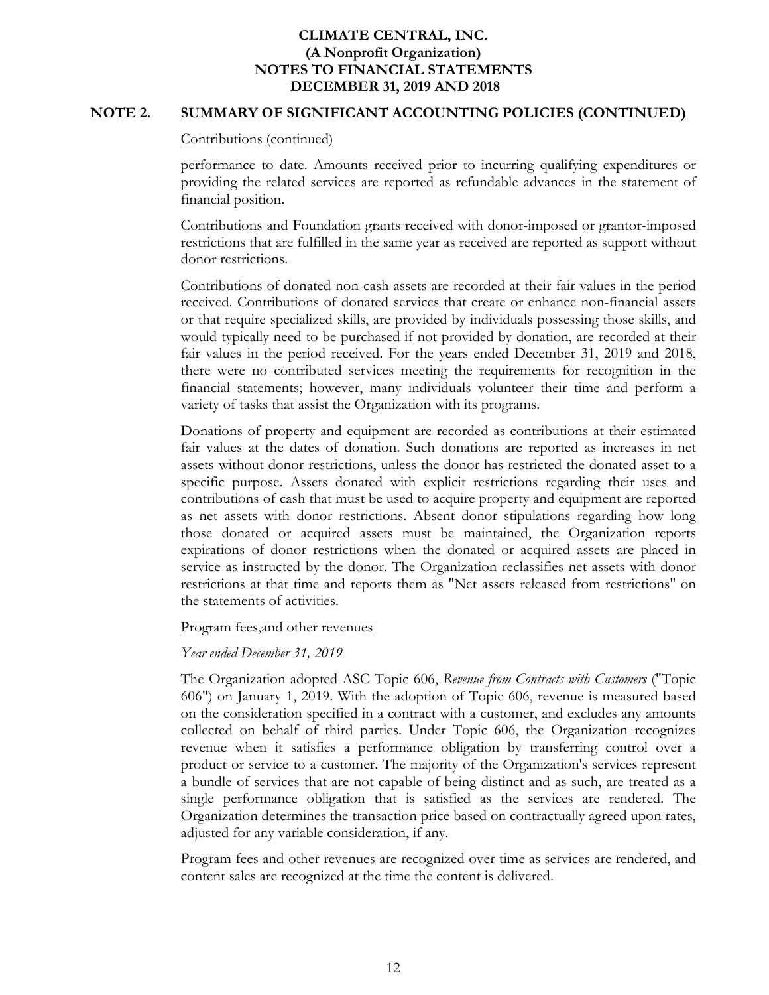### **NOTE 2. SUMMARY OF SIGNIFICANT ACCOUNTING POLICIES (CONTINUED)**

#### Contributions (continued)

performance to date. Amounts received prior to incurring qualifying expenditures or providing the related services are reported as refundable advances in the statement of financial position.

Contributions and Foundation grants received with donor-imposed or grantor-imposed restrictions that are fulfilled in the same year as received are reported as support without donor restrictions.

Contributions of donated non-cash assets are recorded at their fair values in the period received. Contributions of donated services that create or enhance non-financial assets or that require specialized skills, are provided by individuals possessing those skills, and would typically need to be purchased if not provided by donation, are recorded at their fair values in the period received. For the years ended December 31, 2019 and 2018, there were no contributed services meeting the requirements for recognition in the financial statements; however, many individuals volunteer their time and perform a variety of tasks that assist the Organization with its programs.

Donations of property and equipment are recorded as contributions at their estimated fair values at the dates of donation. Such donations are reported as increases in net assets without donor restrictions, unless the donor has restricted the donated asset to a specific purpose. Assets donated with explicit restrictions regarding their uses and contributions of cash that must be used to acquire property and equipment are reported as net assets with donor restrictions. Absent donor stipulations regarding how long those donated or acquired assets must be maintained, the Organization reports expirations of donor restrictions when the donated or acquired assets are placed in service as instructed by the donor. The Organization reclassifies net assets with donor restrictions at that time and reports them as "Net assets released from restrictions" on the statements of activities.

#### Program fees,and other revenues

#### *Year ended December 31, 2019*

The Organization adopted ASC Topic 606, *Revenue from Contracts with Customers* ("Topic 606") on January 1, 2019. With the adoption of Topic 606, revenue is measured based on the consideration specified in a contract with a customer, and excludes any amounts collected on behalf of third parties. Under Topic 606, the Organization recognizes revenue when it satisfies a performance obligation by transferring control over a product or service to a customer. The majority of the Organization's services represent a bundle of services that are not capable of being distinct and as such, are treated as a single performance obligation that is satisfied as the services are rendered. The Organization determines the transaction price based on contractually agreed upon rates, adjusted for any variable consideration, if any.

Program fees and other revenues are recognized over time as services are rendered, and content sales are recognized at the time the content is delivered.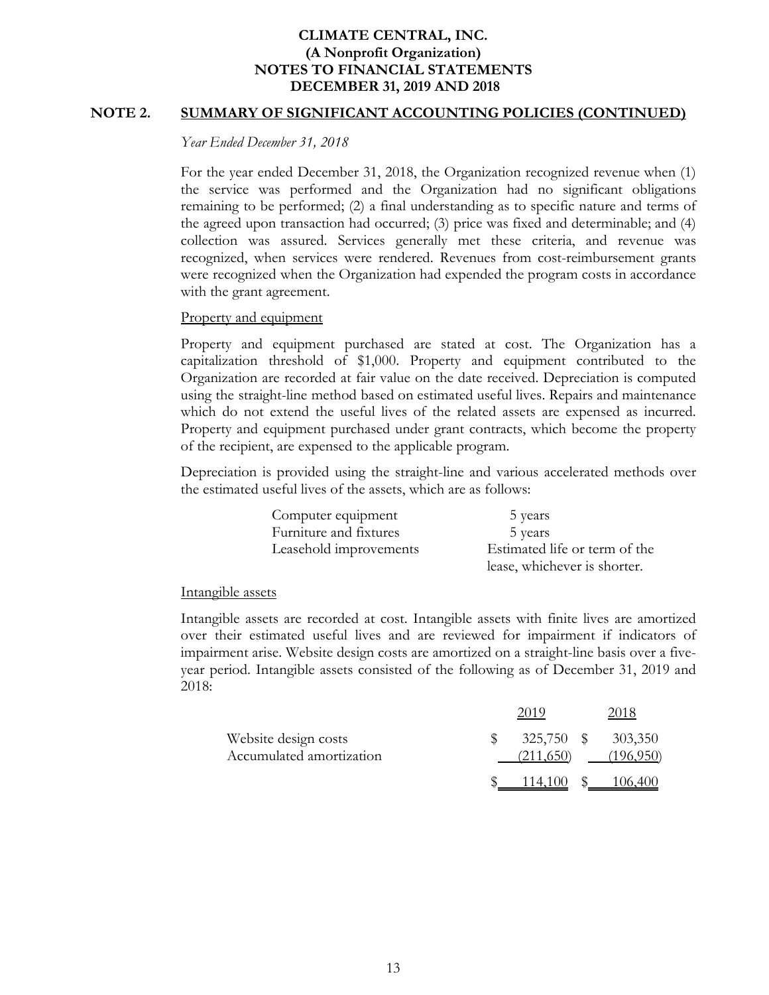### **NOTE 2. SUMMARY OF SIGNIFICANT ACCOUNTING POLICIES (CONTINUED)**

*Year Ended December 31, 2018* 

For the year ended December 31, 2018, the Organization recognized revenue when (1) the service was performed and the Organization had no significant obligations remaining to be performed; (2) a final understanding as to specific nature and terms of the agreed upon transaction had occurred; (3) price was fixed and determinable; and (4) collection was assured. Services generally met these criteria, and revenue was recognized, when services were rendered. Revenues from cost-reimbursement grants were recognized when the Organization had expended the program costs in accordance with the grant agreement.

### Property and equipment

Property and equipment purchased are stated at cost. The Organization has a capitalization threshold of \$1,000. Property and equipment contributed to the Organization are recorded at fair value on the date received. Depreciation is computed using the straight-line method based on estimated useful lives. Repairs and maintenance which do not extend the useful lives of the related assets are expensed as incurred. Property and equipment purchased under grant contracts, which become the property of the recipient, are expensed to the applicable program.

Depreciation is provided using the straight-line and various accelerated methods over the estimated useful lives of the assets, which are as follows:

> Computer equipment 5 years Furniture and fixtures 5 years

Leasehold improvements Estimated life or term of the lease, whichever is shorter.

#### Intangible assets

Intangible assets are recorded at cost. Intangible assets with finite lives are amortized over their estimated useful lives and are reviewed for impairment if indicators of impairment arise. Website design costs are amortized on a straight-line basis over a fiveyear period. Intangible assets consisted of the following as of December 31, 2019 and 2018:

|                                                  | 2015      | 2018                            |
|--------------------------------------------------|-----------|---------------------------------|
| Website design costs<br>Accumulated amortization | (211,650) | 325,750 \$ 303,350<br>(196,950) |
|                                                  | 114.100   |                                 |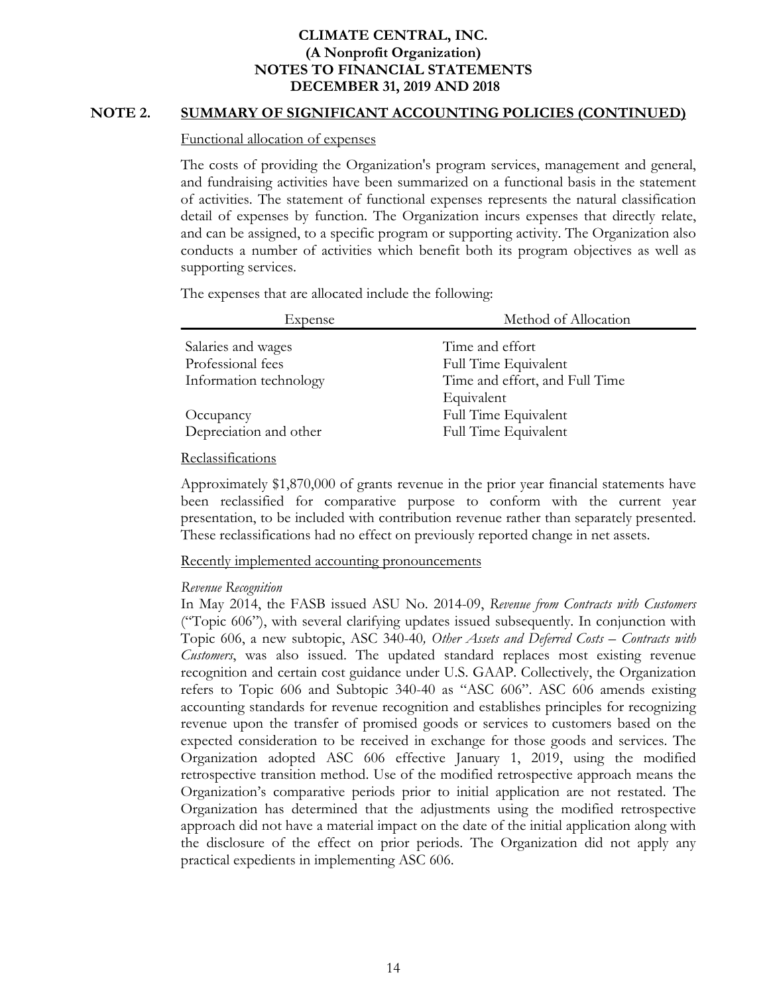### **NOTE 2. SUMMARY OF SIGNIFICANT ACCOUNTING POLICIES (CONTINUED)**

#### Functional allocation of expenses

The costs of providing the Organization's program services, management and general, and fundraising activities have been summarized on a functional basis in the statement of activities. The statement of functional expenses represents the natural classification detail of expenses by function. The Organization incurs expenses that directly relate, and can be assigned, to a specific program or supporting activity. The Organization also conducts a number of activities which benefit both its program objectives as well as supporting services.

The expenses that are allocated include the following:

| <b>Expense</b>         | Method of Allocation           |
|------------------------|--------------------------------|
| Salaries and wages     | Time and effort                |
| Professional fees      | Full Time Equivalent           |
| Information technology | Time and effort, and Full Time |
|                        | Equivalent                     |
| Occupancy              | Full Time Equivalent           |
| Depreciation and other | Full Time Equivalent           |

#### Reclassifications

Approximately \$1,870,000 of grants revenue in the prior year financial statements have been reclassified for comparative purpose to conform with the current year presentation, to be included with contribution revenue rather than separately presented. These reclassifications had no effect on previously reported change in net assets.

Recently implemented accounting pronouncements

#### *Revenue Recognition*

In May 2014, the FASB issued ASU No. 2014-09, *Revenue from Contracts with Customers* ("Topic 606"), with several clarifying updates issued subsequently. In conjunction with Topic 606, a new subtopic, ASC 340-40*, Other Assets and Deferred Costs – Contracts with Customers*, was also issued. The updated standard replaces most existing revenue recognition and certain cost guidance under U.S. GAAP. Collectively, the Organization refers to Topic 606 and Subtopic 340-40 as "ASC 606". ASC 606 amends existing accounting standards for revenue recognition and establishes principles for recognizing revenue upon the transfer of promised goods or services to customers based on the expected consideration to be received in exchange for those goods and services. The Organization adopted ASC 606 effective January 1, 2019, using the modified retrospective transition method. Use of the modified retrospective approach means the Organization's comparative periods prior to initial application are not restated. The Organization has determined that the adjustments using the modified retrospective approach did not have a material impact on the date of the initial application along with the disclosure of the effect on prior periods. The Organization did not apply any practical expedients in implementing ASC 606.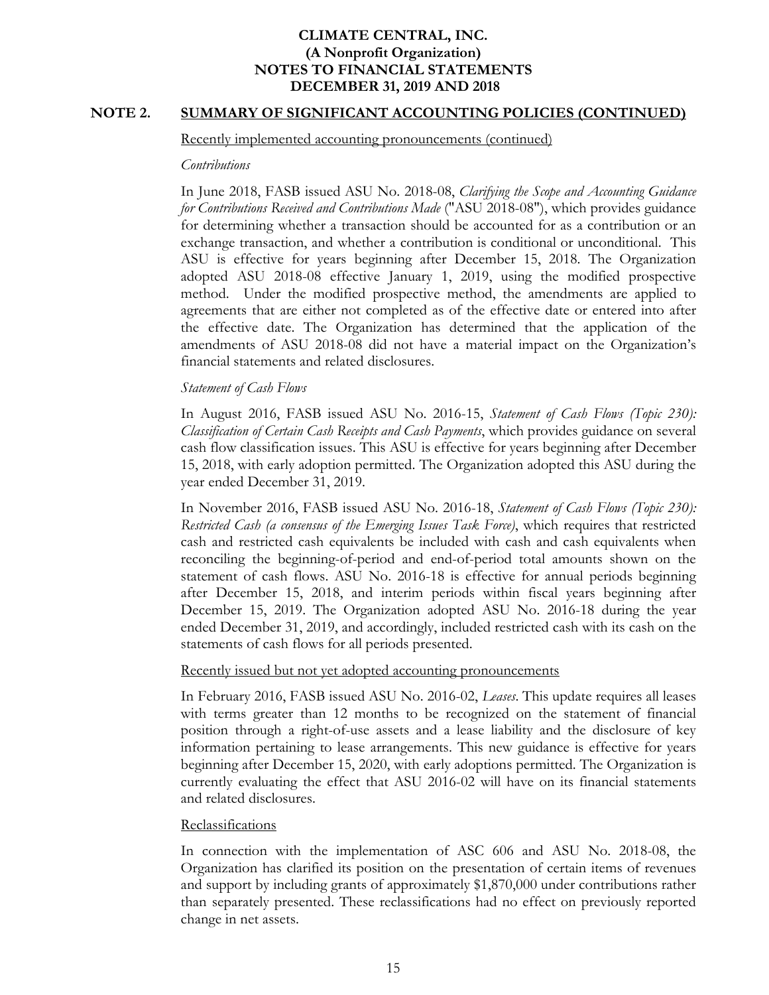### **NOTE 2. SUMMARY OF SIGNIFICANT ACCOUNTING POLICIES (CONTINUED)**

#### Recently implemented accounting pronouncements (continued)

#### *Contributions*

In June 2018, FASB issued ASU No. 2018-08, *Clarifying the Scope and Accounting Guidance for Contributions Received and Contributions Made* ("ASU 2018-08"), which provides guidance for determining whether a transaction should be accounted for as a contribution or an exchange transaction, and whether a contribution is conditional or unconditional. This ASU is effective for years beginning after December 15, 2018. The Organization adopted ASU 2018-08 effective January 1, 2019, using the modified prospective method. Under the modified prospective method, the amendments are applied to agreements that are either not completed as of the effective date or entered into after the effective date. The Organization has determined that the application of the amendments of ASU 2018-08 did not have a material impact on the Organization's financial statements and related disclosures.

### *Statement of Cash Flows*

In August 2016, FASB issued ASU No. 2016-15, *Statement of Cash Flows (Topic 230): Classification of Certain Cash Receipts and Cash Payments*, which provides guidance on several cash flow classification issues. This ASU is effective for years beginning after December 15, 2018, with early adoption permitted. The Organization adopted this ASU during the year ended December 31, 2019.

In November 2016, FASB issued ASU No. 2016-18, *Statement of Cash Flows (Topic 230): Restricted Cash (a consensus of the Emerging Issues Task Force)*, which requires that restricted cash and restricted cash equivalents be included with cash and cash equivalents when reconciling the beginning-of-period and end-of-period total amounts shown on the statement of cash flows. ASU No. 2016-18 is effective for annual periods beginning after December 15, 2018, and interim periods within fiscal years beginning after December 15, 2019. The Organization adopted ASU No. 2016-18 during the year ended December 31, 2019, and accordingly, included restricted cash with its cash on the statements of cash flows for all periods presented.

#### Recently issued but not yet adopted accounting pronouncements

In February 2016, FASB issued ASU No. 2016-02, *Leases*. This update requires all leases with terms greater than 12 months to be recognized on the statement of financial position through a right-of-use assets and a lease liability and the disclosure of key information pertaining to lease arrangements. This new guidance is effective for years beginning after December 15, 2020, with early adoptions permitted. The Organization is currently evaluating the effect that ASU 2016-02 will have on its financial statements and related disclosures.

#### Reclassifications

In connection with the implementation of ASC 606 and ASU No. 2018-08, the Organization has clarified its position on the presentation of certain items of revenues and support by including grants of approximately \$1,870,000 under contributions rather than separately presented. These reclassifications had no effect on previously reported change in net assets.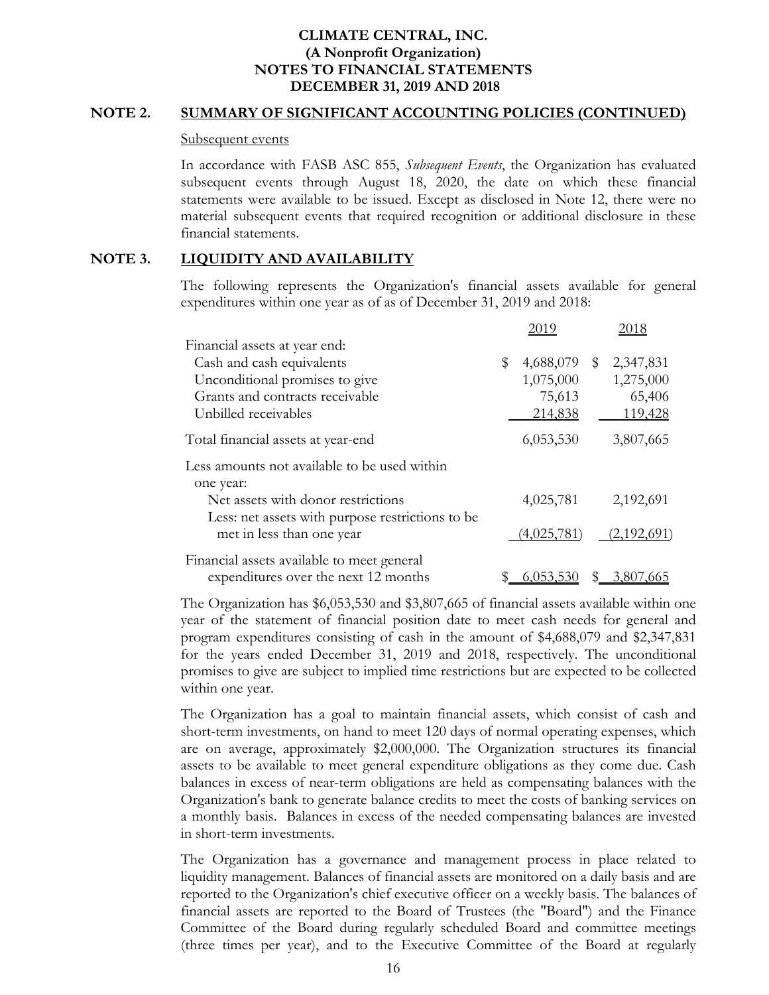#### **NOTE 2. SUMMARY OF SIGNIFICANT ACCOUNTING POLICIES (CONTINUED)**

#### Subsequent events

In accordance with FASB ASC 855, *Subsequent Events*, the Organization has evaluated subsequent events through August 18, 2020, the date on which these financial statements were available to be issued. Except as disclosed in Note 12, there were no material subsequent events that required recognition or additional disclosure in these financial statements.

# **NOTE 3. LIQUIDITY AND AVAILABILITY**

The following represents the Organization's financial assets available for general expenditures within one year as of as of December 31, 2019 and 2018:

|                                                                                    | 2019        | 2018                   |
|------------------------------------------------------------------------------------|-------------|------------------------|
| Financial assets at year end:                                                      |             |                        |
| Cash and cash equivalents                                                          | \$          | 4,688,079 \$ 2,347,831 |
| Unconditional promises to give                                                     | 1,075,000   | 1,275,000              |
| Grants and contracts receivable                                                    | 75,613      | 65,406                 |
| Unbilled receivables                                                               | 214,838     | 119,428                |
| Total financial assets at year-end                                                 | 6,053,530   | 3,807,665              |
| Less amounts not available to be used within<br>one year:                          |             |                        |
| Net assets with donor restrictions                                                 | 4,025,781   | 2,192,691              |
| Less: net assets with purpose restrictions to be<br>met in less than one year      | (4,025,781) | (2,192,691)            |
| Financial assets available to meet general<br>expenditures over the next 12 months | 6,053,5     | 3,807,665              |

The Organization has \$6,053,530 and \$3,807,665 of financial assets available within one year of the statement of financial position date to meet cash needs for general and program expenditures consisting of cash in the amount of \$4,688,079 and \$2,347,831 for the years ended December 31, 2019 and 2018, respectively. The unconditional promises to give are subject to implied time restrictions but are expected to be collected within one year.

The Organization has a goal to maintain financial assets, which consist of cash and short-term investments, on hand to meet 120 days of normal operating expenses, which are on average, approximately \$2,000,000. The Organization structures its financial assets to be available to meet general expenditure obligations as they come due. Cash balances in excess of near-term obligations are held as compensating balances with the Organization's bank to generate balance credits to meet the costs of banking services on a monthly basis. Balances in excess of the needed compensating balances are invested in short-term investments.

The Organization has a governance and management process in place related to liquidity management. Balances of financial assets are monitored on a daily basis and are reported to the Organization's chief executive officer on a weekly basis. The balances of financial assets are reported to the Board of Trustees (the "Board") and the Finance Committee of the Board during regularly scheduled Board and committee meetings (three times per year), and to the Executive Committee of the Board at regularly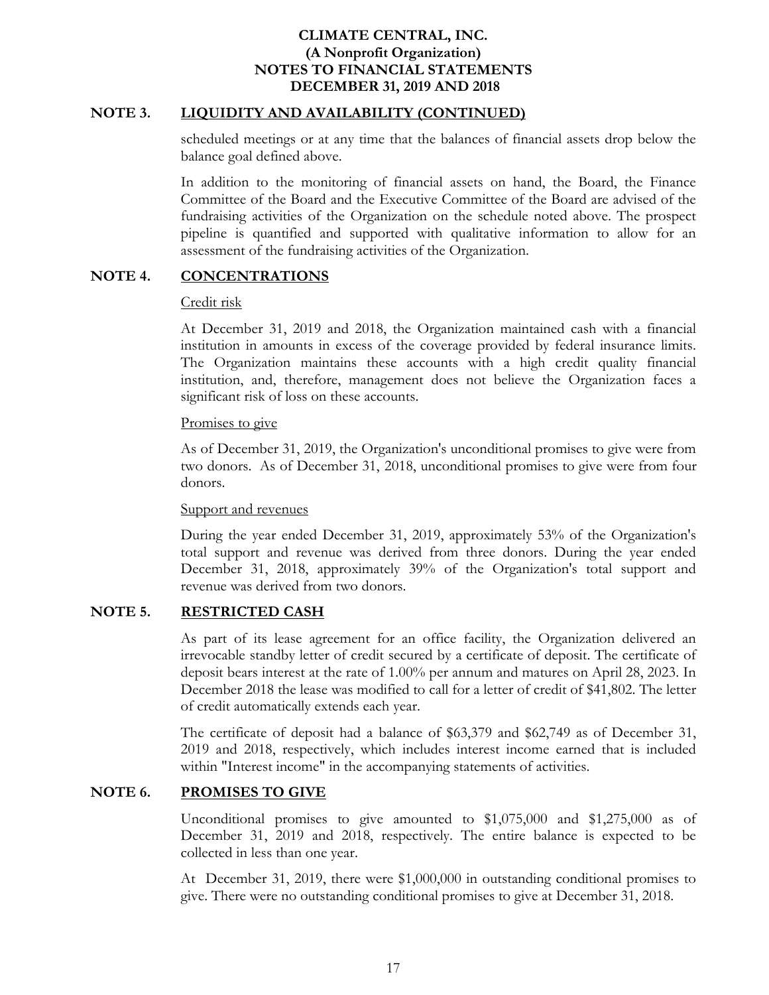## **NOTE 3. LIQUIDITY AND AVAILABILITY (CONTINUED)**

scheduled meetings or at any time that the balances of financial assets drop below the balance goal defined above.

In addition to the monitoring of financial assets on hand, the Board, the Finance Committee of the Board and the Executive Committee of the Board are advised of the fundraising activities of the Organization on the schedule noted above. The prospect pipeline is quantified and supported with qualitative information to allow for an assessment of the fundraising activities of the Organization.

# **NOTE 4. CONCENTRATIONS**

## Credit risk

At December 31, 2019 and 2018, the Organization maintained cash with a financial institution in amounts in excess of the coverage provided by federal insurance limits. The Organization maintains these accounts with a high credit quality financial institution, and, therefore, management does not believe the Organization faces a significant risk of loss on these accounts.

## Promises to give

As of December 31, 2019, the Organization's unconditional promises to give were from two donors. As of December 31, 2018, unconditional promises to give were from four donors.

## Support and revenues

During the year ended December 31, 2019, approximately 53% of the Organization's total support and revenue was derived from three donors. During the year ended December 31, 2018, approximately 39% of the Organization's total support and revenue was derived from two donors.

# **NOTE 5. RESTRICTED CASH**

As part of its lease agreement for an office facility, the Organization delivered an irrevocable standby letter of credit secured by a certificate of deposit. The certificate of deposit bears interest at the rate of 1.00% per annum and matures on April 28, 2023. In December 2018 the lease was modified to call for a letter of credit of \$41,802. The letter of credit automatically extends each year.

The certificate of deposit had a balance of \$63,379 and \$62,749 as of December 31, 2019 and 2018, respectively, which includes interest income earned that is included within "Interest income" in the accompanying statements of activities.

## **NOTE 6. PROMISES TO GIVE**

Unconditional promises to give amounted to \$1,075,000 and \$1,275,000 as of December 31, 2019 and 2018, respectively. The entire balance is expected to be collected in less than one year.

At December 31, 2019, there were \$1,000,000 in outstanding conditional promises to give. There were no outstanding conditional promises to give at December 31, 2018.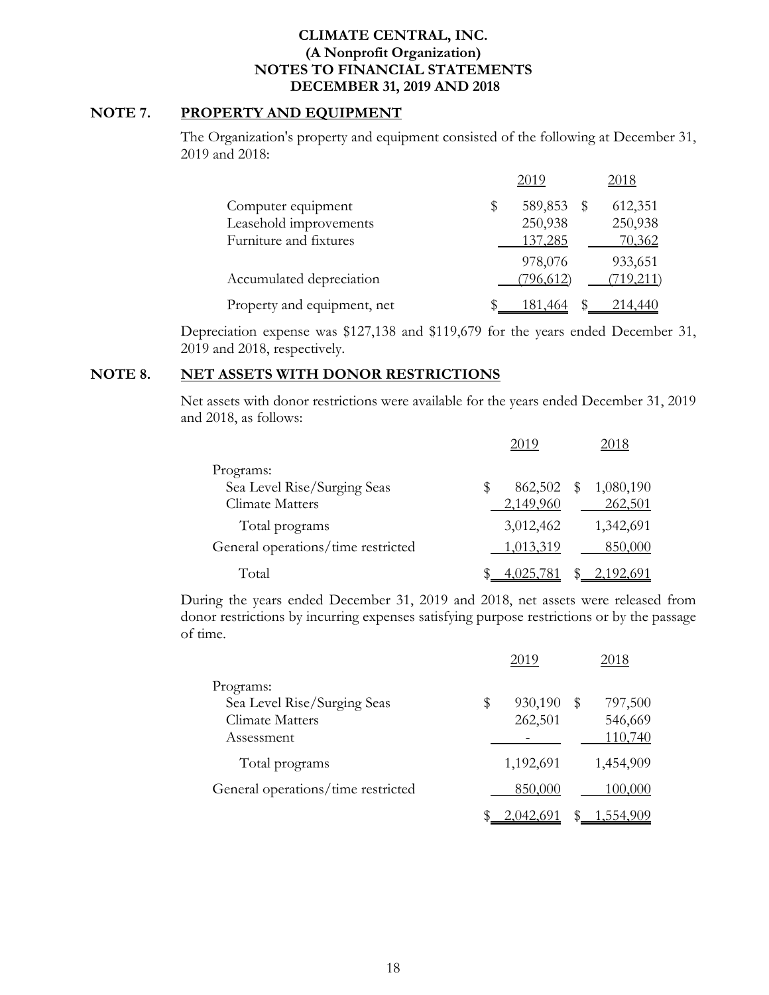## **NOTE 7. PROPERTY AND EQUIPMENT**

The Organization's property and equipment consisted of the following at December 31, 2019 and 2018:

|                             | 2019          |   | 2018      |
|-----------------------------|---------------|---|-----------|
| Computer equipment          | 589,853<br>\$ | S | 612,351   |
| Leasehold improvements      | 250,938       |   | 250,938   |
| Furniture and fixtures      | 137,285       |   | 70,362    |
|                             | 978,076       |   | 933,651   |
| Accumulated depreciation    | (796, 612)    |   | (719,211) |
| Property and equipment, net | \$<br>181,464 |   | 214,440   |

Depreciation expense was \$127,138 and \$119,679 for the years ended December 31, 2019 and 2018, respectively.

#### **NOTE 8. NET ASSETS WITH DONOR RESTRICTIONS**

Net assets with donor restrictions were available for the years ended December 31, 2019 and 2018, as follows:

|                                    |   | 2019      |              | 2018      |
|------------------------------------|---|-----------|--------------|-----------|
| Programs:                          |   |           |              |           |
| Sea Level Rise/Surging Seas        | S | 862,502   | $\mathbb{S}$ | 1,080,190 |
| Climate Matters                    |   | 2,149,960 |              | 262,501   |
| Total programs                     |   | 3,012,462 |              | 1,342,691 |
| General operations/time restricted |   | 1,013,319 |              | 850,000   |
| Total                              |   | 4,025,    |              | 2,192,691 |

During the years ended December 31, 2019 and 2018, net assets were released from donor restrictions by incurring expenses satisfying purpose restrictions or by the passage of time.

|                                                                           | 2019                     |    | 2018                          |
|---------------------------------------------------------------------------|--------------------------|----|-------------------------------|
| Programs:<br>Sea Level Rise/Surging Seas<br>Climate Matters<br>Assessment | \$<br>930,190<br>262,501 | S  | 797,500<br>546,669<br>110,740 |
| Total programs                                                            | 1,192,691                |    | 1,454,909                     |
| General operations/time restricted                                        | 850,000                  |    | 100,000                       |
|                                                                           | 2,042,691                | \$ | 1,554,909                     |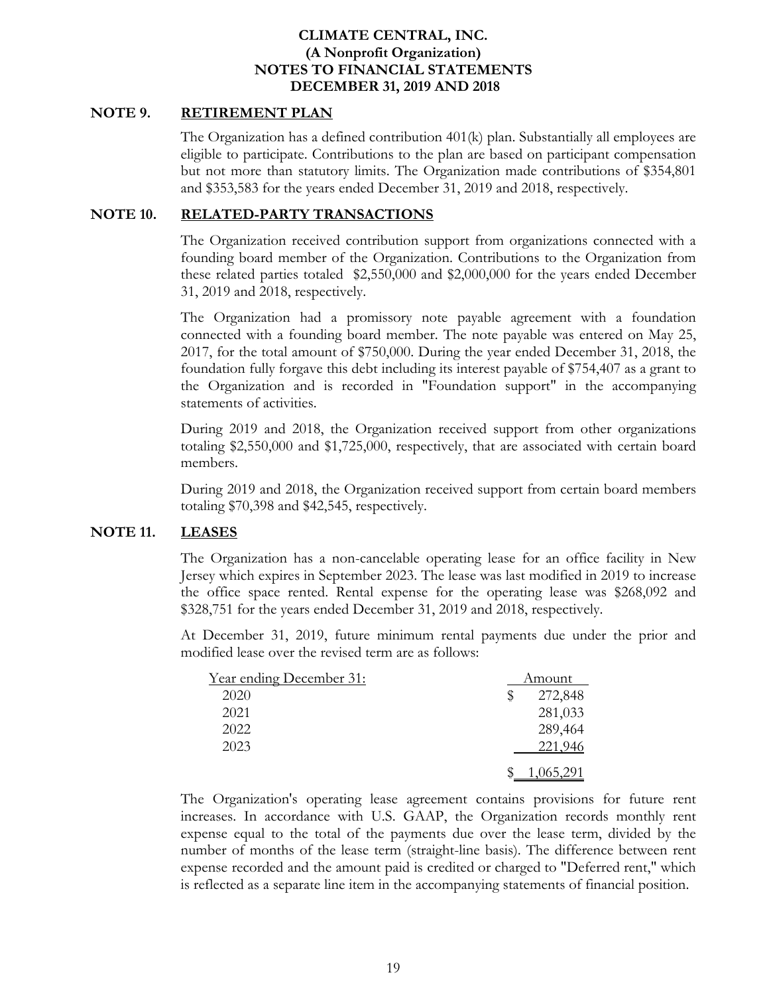## **NOTE 9. RETIREMENT PLAN**

The Organization has a defined contribution 401(k) plan. Substantially all employees are eligible to participate. Contributions to the plan are based on participant compensation but not more than statutory limits. The Organization made contributions of \$354,801 and \$353,583 for the years ended December 31, 2019 and 2018, respectively.

### **NOTE 10. RELATED-PARTY TRANSACTIONS**

The Organization received contribution support from organizations connected with a founding board member of the Organization. Contributions to the Organization from these related parties totaled \$2,550,000 and \$2,000,000 for the years ended December 31, 2019 and 2018, respectively.

The Organization had a promissory note payable agreement with a foundation connected with a founding board member. The note payable was entered on May 25, 2017, for the total amount of \$750,000. During the year ended December 31, 2018, the foundation fully forgave this debt including its interest payable of \$754,407 as a grant to the Organization and is recorded in "Foundation support" in the accompanying statements of activities.

During 2019 and 2018, the Organization received support from other organizations totaling \$2,550,000 and \$1,725,000, respectively, that are associated with certain board members.

During 2019 and 2018, the Organization received support from certain board members totaling \$70,398 and \$42,545, respectively.

## **NOTE 11. LEASES**

The Organization has a non-cancelable operating lease for an office facility in New Jersey which expires in September 2023. The lease was last modified in 2019 to increase the office space rented. Rental expense for the operating lease was \$268,092 and \$328,751 for the years ended December 31, 2019 and 2018, respectively.

At December 31, 2019, future minimum rental payments due under the prior and modified lease over the revised term are as follows:

| <u>Year ending December 31:</u> | Amount |           |  |
|---------------------------------|--------|-----------|--|
| 2020                            | \$     | 272,848   |  |
| 2021                            |        | 281,033   |  |
| 2022                            |        | 289,464   |  |
| 2023                            |        | 221,946   |  |
|                                 |        | 1,065,291 |  |

The Organization's operating lease agreement contains provisions for future rent increases. In accordance with U.S. GAAP, the Organization records monthly rent expense equal to the total of the payments due over the lease term, divided by the number of months of the lease term (straight-line basis). The difference between rent expense recorded and the amount paid is credited or charged to "Deferred rent," which is reflected as a separate line item in the accompanying statements of financial position.